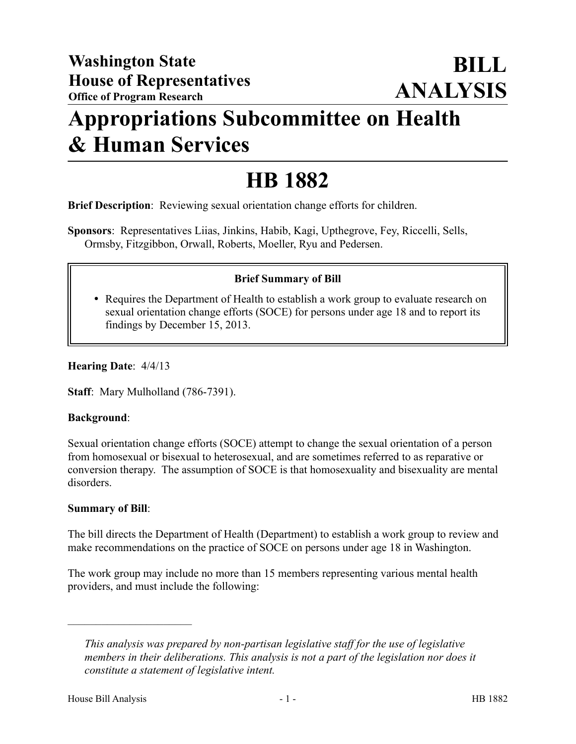## **Appropriations Subcommittee on Health & Human Services**

# **HB 1882**

**Brief Description**: Reviewing sexual orientation change efforts for children.

**Sponsors**: Representatives Liias, Jinkins, Habib, Kagi, Upthegrove, Fey, Riccelli, Sells, Ormsby, Fitzgibbon, Orwall, Roberts, Moeller, Ryu and Pedersen.

### **Brief Summary of Bill**

 Requires the Department of Health to establish a work group to evaluate research on sexual orientation change efforts (SOCE) for persons under age 18 and to report its findings by December 15, 2013.

#### **Hearing Date**: 4/4/13

**Staff**: Mary Mulholland (786-7391).

#### **Background**:

Sexual orientation change efforts (SOCE) attempt to change the sexual orientation of a person from homosexual or bisexual to heterosexual, and are sometimes referred to as reparative or conversion therapy. The assumption of SOCE is that homosexuality and bisexuality are mental disorders.

#### **Summary of Bill**:

The bill directs the Department of Health (Department) to establish a work group to review and make recommendations on the practice of SOCE on persons under age 18 in Washington.

The work group may include no more than 15 members representing various mental health providers, and must include the following:

––––––––––––––––––––––

*This analysis was prepared by non-partisan legislative staff for the use of legislative members in their deliberations. This analysis is not a part of the legislation nor does it constitute a statement of legislative intent.*